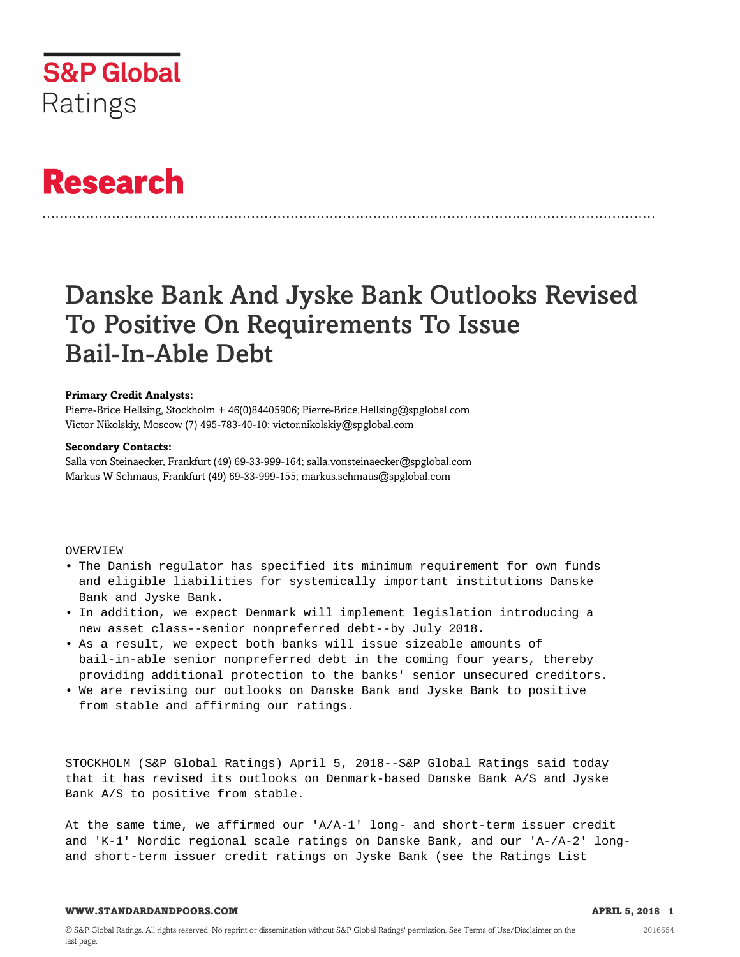

# **Research**

# Danske Bank And Jyske Bank Outlooks Revised To Positive On Requirements To Issue Bail-In-Able Debt

# **Primary Credit Analysts:**

Pierre-Brice Hellsing, Stockholm + 46(0)84405906; Pierre-Brice.Hellsing@spglobal.com Victor Nikolskiy, Moscow (7) 495-783-40-10; victor.nikolskiy@spglobal.com

# **Secondary Contacts:**

Salla von Steinaecker, Frankfurt (49) 69-33-999-164; salla.vonsteinaecker@spglobal.com Markus W Schmaus, Frankfurt (49) 69-33-999-155; markus.schmaus@spglobal.com

# **OVERVIEW**

- The Danish regulator has specified its minimum requirement for own funds and eligible liabilities for systemically important institutions Danske Bank and Jyske Bank.
- In addition, we expect Denmark will implement legislation introducing a new asset class--senior nonpreferred debt--by July 2018.
- As a result, we expect both banks will issue sizeable amounts of bail-in-able senior nonpreferred debt in the coming four years, thereby providing additional protection to the banks' senior unsecured creditors.
- We are revising our outlooks on Danske Bank and Jyske Bank to positive from stable and affirming our ratings.

STOCKHOLM (S&P Global Ratings) April 5, 2018--S&P Global Ratings said today that it has revised its outlooks on Denmark-based Danske Bank A/S and Jyske Bank A/S to positive from stable.

At the same time, we affirmed our 'A/A-1' long- and short-term issuer credit and 'K-1' Nordic regional scale ratings on Danske Bank, and our 'A-/A-2' longand short-term issuer credit ratings on Jyske Bank (see the Ratings List

#### **WWW.STANDARDANDPOORS.COM APRIL 5, 2018 1**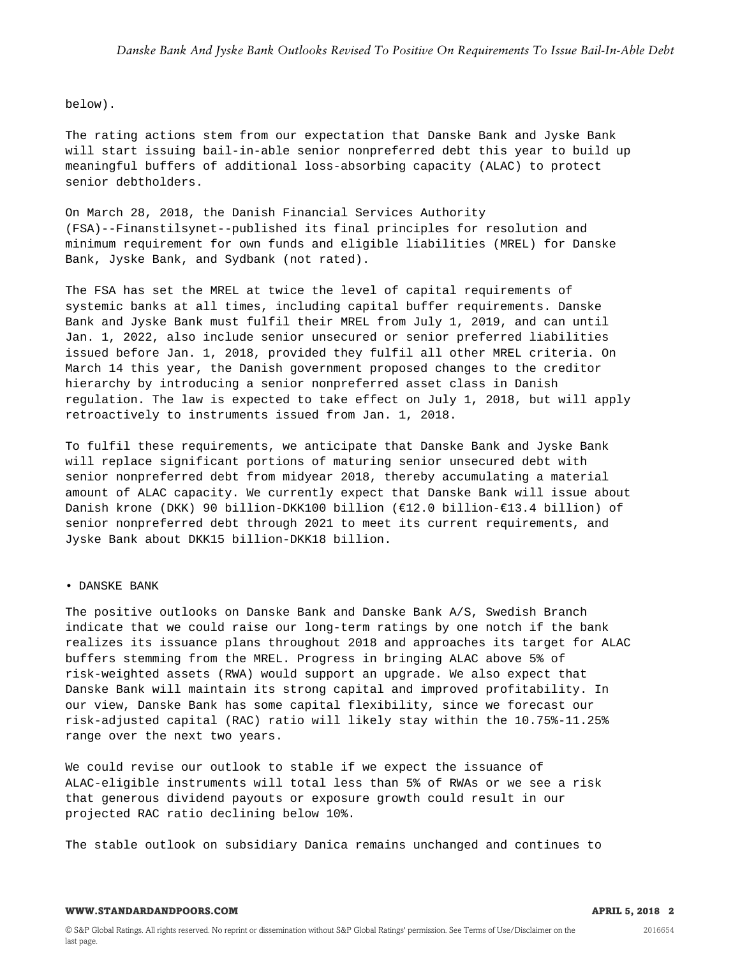#### below).

The rating actions stem from our expectation that Danske Bank and Jyske Bank will start issuing bail-in-able senior nonpreferred debt this year to build up meaningful buffers of additional loss-absorbing capacity (ALAC) to protect senior debtholders.

On March 28, 2018, the Danish Financial Services Authority (FSA)--Finanstilsynet--published its final principles for resolution and minimum requirement for own funds and eligible liabilities (MREL) for Danske Bank, Jyske Bank, and Sydbank (not rated).

The FSA has set the MREL at twice the level of capital requirements of systemic banks at all times, including capital buffer requirements. Danske Bank and Jyske Bank must fulfil their MREL from July 1, 2019, and can until Jan. 1, 2022, also include senior unsecured or senior preferred liabilities issued before Jan. 1, 2018, provided they fulfil all other MREL criteria. On March 14 this year, the Danish government proposed changes to the creditor hierarchy by introducing a senior nonpreferred asset class in Danish regulation. The law is expected to take effect on July 1, 2018, but will apply retroactively to instruments issued from Jan. 1, 2018.

To fulfil these requirements, we anticipate that Danske Bank and Jyske Bank will replace significant portions of maturing senior unsecured debt with senior nonpreferred debt from midyear 2018, thereby accumulating a material amount of ALAC capacity. We currently expect that Danske Bank will issue about Danish krone (DKK) 90 billion-DKK100 billion (€12.0 billion-€13.4 billion) of senior nonpreferred debt through 2021 to meet its current requirements, and Jyske Bank about DKK15 billion-DKK18 billion.

#### • DANSKE BANK

The positive outlooks on Danske Bank and Danske Bank A/S, Swedish Branch indicate that we could raise our long-term ratings by one notch if the bank realizes its issuance plans throughout 2018 and approaches its target for ALAC buffers stemming from the MREL. Progress in bringing ALAC above 5% of risk-weighted assets (RWA) would support an upgrade. We also expect that Danske Bank will maintain its strong capital and improved profitability. In our view, Danske Bank has some capital flexibility, since we forecast our risk-adjusted capital (RAC) ratio will likely stay within the 10.75%-11.25% range over the next two years.

We could revise our outlook to stable if we expect the issuance of ALAC-eligible instruments will total less than 5% of RWAs or we see a risk that generous dividend payouts or exposure growth could result in our projected RAC ratio declining below 10%.

The stable outlook on subsidiary Danica remains unchanged and continues to

## **WWW.STANDARDANDPOORS.COM APRIL 5, 2018 2**

2016654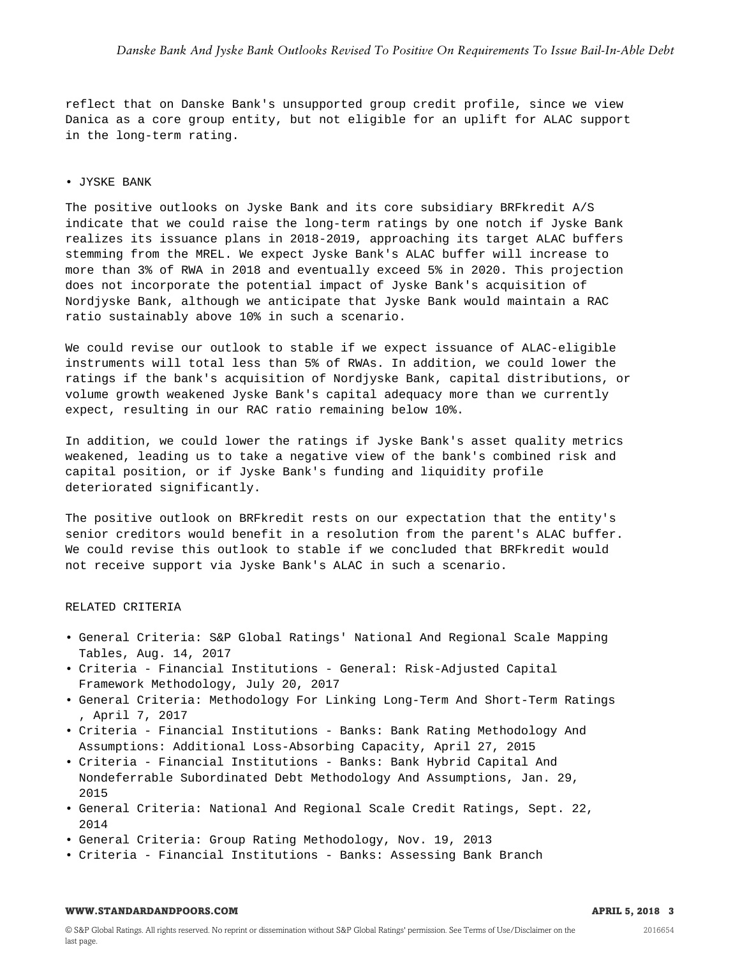reflect that on Danske Bank's unsupported group credit profile, since we view Danica as a core group entity, but not eligible for an uplift for ALAC support in the long-term rating.

# • JYSKE BANK

The positive outlooks on Jyske Bank and its core subsidiary BRFkredit A/S indicate that we could raise the long-term ratings by one notch if Jyske Bank realizes its issuance plans in 2018-2019, approaching its target ALAC buffers stemming from the MREL. We expect Jyske Bank's ALAC buffer will increase to more than 3% of RWA in 2018 and eventually exceed 5% in 2020. This projection does not incorporate the potential impact of Jyske Bank's acquisition of Nordjyske Bank, although we anticipate that Jyske Bank would maintain a RAC ratio sustainably above 10% in such a scenario.

We could revise our outlook to stable if we expect issuance of ALAC-eligible instruments will total less than 5% of RWAs. In addition, we could lower the ratings if the bank's acquisition of Nordjyske Bank, capital distributions, or volume growth weakened Jyske Bank's capital adequacy more than we currently expect, resulting in our RAC ratio remaining below 10%.

In addition, we could lower the ratings if Jyske Bank's asset quality metrics weakened, leading us to take a negative view of the bank's combined risk and capital position, or if Jyske Bank's funding and liquidity profile deteriorated significantly.

The positive outlook on BRFkredit rests on our expectation that the entity's senior creditors would benefit in a resolution from the parent's ALAC buffer. We could revise this outlook to stable if we concluded that BRFkredit would not receive support via Jyske Bank's ALAC in such a scenario.

### RELATED CRITERIA

- General Criteria: S&P Global Ratings' National And Regional Scale Mapping Tables, Aug. 14, 2017
- Criteria Financial Institutions General: Risk-Adjusted Capital Framework Methodology, July 20, 2017
- General Criteria: Methodology For Linking Long-Term And Short-Term Ratings , April 7, 2017
- Criteria Financial Institutions Banks: Bank Rating Methodology And Assumptions: Additional Loss-Absorbing Capacity, April 27, 2015
- Criteria Financial Institutions Banks: Bank Hybrid Capital And Nondeferrable Subordinated Debt Methodology And Assumptions, Jan. 29, 2015
- General Criteria: National And Regional Scale Credit Ratings, Sept. 22, 2014
- General Criteria: Group Rating Methodology, Nov. 19, 2013
- Criteria Financial Institutions Banks: Assessing Bank Branch

# **WWW.STANDARDANDPOORS.COM APRIL 5, 2018 3**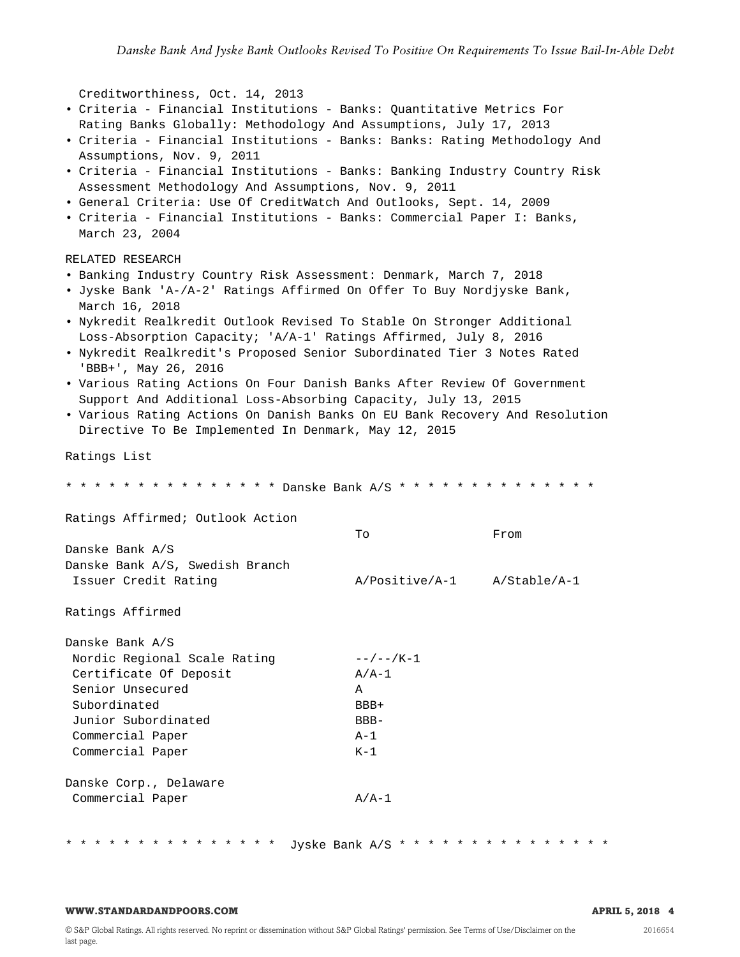```
Creditworthiness, Oct. 14, 2013
• Criteria - Financial Institutions - Banks: Quantitative Metrics For
 Rating Banks Globally: Methodology And Assumptions, July 17, 2013
• Criteria - Financial Institutions - Banks: Banks: Rating Methodology And
 Assumptions, Nov. 9, 2011
• Criteria - Financial Institutions - Banks: Banking Industry Country Risk
 Assessment Methodology And Assumptions, Nov. 9, 2011
• General Criteria: Use Of CreditWatch And Outlooks, Sept. 14, 2009
• Criteria - Financial Institutions - Banks: Commercial Paper I: Banks,
 March 23, 2004
RELATED RESEARCH
• Banking Industry Country Risk Assessment: Denmark, March 7, 2018
• Jyske Bank 'A-/A-2' Ratings Affirmed On Offer To Buy Nordjyske Bank,
 March 16, 2018
• Nykredit Realkredit Outlook Revised To Stable On Stronger Additional
 Loss-Absorption Capacity; 'A/A-1' Ratings Affirmed, July 8, 2016
• Nykredit Realkredit's Proposed Senior Subordinated Tier 3 Notes Rated
 'BBB+', May 26, 2016
• Various Rating Actions On Four Danish Banks After Review Of Government
 Support And Additional Loss-Absorbing Capacity, July 13, 2015
• Various Rating Actions On Danish Banks On EU Bank Recovery And Resolution
 Directive To Be Implemented In Denmark, May 12, 2015
Ratings List
* * * * * * * * * * * * * * * Danske Bank A/S * * * * * * * * * * * * * *
Ratings Affirmed; Outlook Action
                                    To From
Danske Bank A/S
Danske Bank A/S, Swedish Branch
Issuer Credit Rating A/Positive/A-1 A/Stable/A-1
Ratings Affirmed
Danske Bank A/S
Nordic Regional Scale Rating --/--/K-1
Certificate Of Deposit A/A-1
Senior Unsecured A
Subordinated BBB+
Junior Subordinated BBB-
Commercial Paper A-1
Commercial Paper K-1
Danske Corp., Delaware
Commercial Paper A/A-1
* * * * * * * * * * * * * * * Jyske Bank A/S * * * * * * * * * * * * * * *
```
#### **WWW.STANDARDANDPOORS.COM APRIL 5, 2018 4**

2016654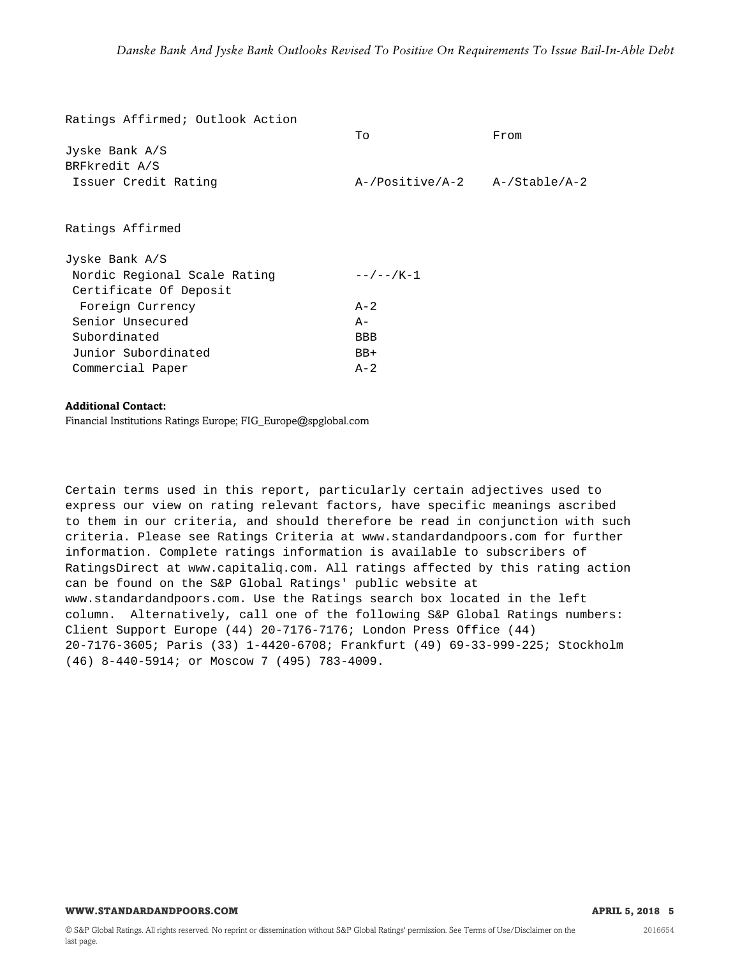| Ratings Affirmed; Outlook Action |                                     |      |
|----------------------------------|-------------------------------------|------|
|                                  | To                                  | From |
| Jyske Bank $A/S$                 |                                     |      |
| BRFkredit A/S                    |                                     |      |
| Issuer Credit Rating             | $A$ -/Positive/A-2 $A$ -/Stable/A-2 |      |
| Ratings Affirmed                 |                                     |      |
| Jyske Bank $A/S$                 |                                     |      |
| Nordic Regional Scale Rating     | $- - / - - / K - 1$                 |      |
| Certificate Of Deposit           |                                     |      |
| Foreign Currency                 | $A-2$                               |      |
| Senior Unsecured                 | $A -$                               |      |
| Subordinated                     | <b>BBB</b>                          |      |
| Junior Subordinated              | $BB+$                               |      |
| Commercial Paper                 | $A-2$                               |      |
|                                  |                                     |      |

# **Additional Contact:**

Financial Institutions Ratings Europe; FIG\_Europe@spglobal.com

Certain terms used in this report, particularly certain adjectives used to express our view on rating relevant factors, have specific meanings ascribed to them in our criteria, and should therefore be read in conjunction with such criteria. Please see Ratings Criteria at www.standardandpoors.com for further information. Complete ratings information is available to subscribers of RatingsDirect at www.capitaliq.com. All ratings affected by this rating action can be found on the S&P Global Ratings' public website at www.standardandpoors.com. Use the Ratings search box located in the left column. Alternatively, call one of the following S&P Global Ratings numbers: Client Support Europe (44) 20-7176-7176; London Press Office (44) 20-7176-3605; Paris (33) 1-4420-6708; Frankfurt (49) 69-33-999-225; Stockholm (46) 8-440-5914; or Moscow 7 (495) 783-4009.